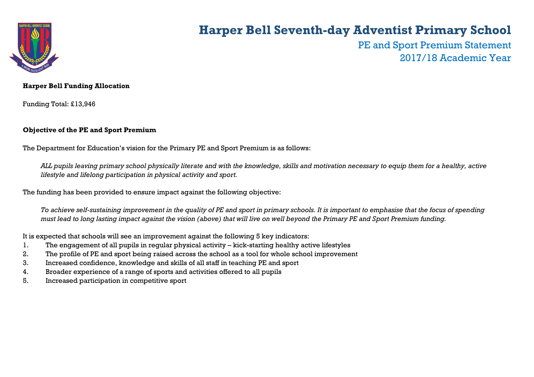

# **Harper Bell Seventh-day Adventist Primary School**

PE and Sport Premium Statement 2017/18 Academic Year

### **Harper Bell Funding Allocation**

Funding Total: £13,946

### **Objective of the PE and Sport Premium**

The Department for Education's vision for the Primary PE and Sport Premium is as follows:

*ALL pupils leaving primary school physically literate and with the knowledge, skills and motivation necessary to equip them for a healthy, active lifestyle and lifelong participation in physical activity and sport.*

The funding has been provided to ensure impact against the following objective:

*To achieve self-sustaining improvement in the quality of PE and sport in primary schools. It is important to emphasise that the focus of spending must lead to long lasting impact against the vision (above) that will live on well beyond the Primary PE and Sport Premium funding.* 

It is expected that schools will see an improvement against the following 5 key indicators:

- 1. The engagement of all pupils in regular physical activity kick-starting healthy active lifestyles
- 2. The profile of PE and sport being raised across the school as a tool for whole school improvement
- 3. Increased confidence, knowledge and skills of all staff in teaching PE and sport
- 4. Broader experience of a range of sports and activities offered to all pupils
- 5. Increased participation in competitive sport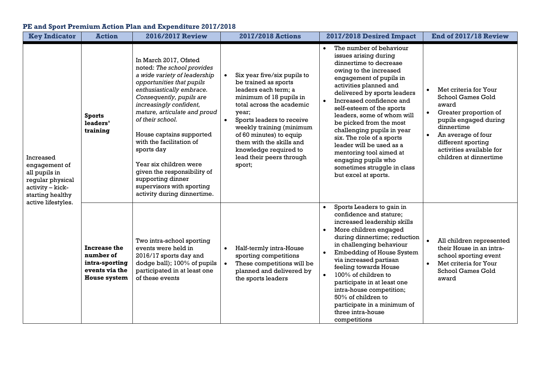## **PE and Sport Premium Action Plan and Expenditure 2017/2018**

| <b>Key Indicator</b>                                                                                                          | <b>Action</b>                                                                        | <b>2016/2017 Review</b>                                                                                                                                                                                                                                                                                                                                                                                                                                                  | <b>2017/2018 Actions</b>                                                                                                                                                                                                                                                                                                                 | 2017/2018 Desired Impact                                                                                                                                                                                                                                                                                                                                                                                                                                                                                   | End of 2017/18 Review                                                                                                                                                                                                                                        |
|-------------------------------------------------------------------------------------------------------------------------------|--------------------------------------------------------------------------------------|--------------------------------------------------------------------------------------------------------------------------------------------------------------------------------------------------------------------------------------------------------------------------------------------------------------------------------------------------------------------------------------------------------------------------------------------------------------------------|------------------------------------------------------------------------------------------------------------------------------------------------------------------------------------------------------------------------------------------------------------------------------------------------------------------------------------------|------------------------------------------------------------------------------------------------------------------------------------------------------------------------------------------------------------------------------------------------------------------------------------------------------------------------------------------------------------------------------------------------------------------------------------------------------------------------------------------------------------|--------------------------------------------------------------------------------------------------------------------------------------------------------------------------------------------------------------------------------------------------------------|
| Increased<br>engagement of<br>all pupils in<br>regular physical<br>activity - kick-<br>starting healthy<br>active lifestyles. | <b>Sports</b><br>leaders'<br>training                                                | In March 2017, Ofsted<br>noted: The school provides<br>a wide variety of leadership<br>opportunities that pupils<br>enthusiastically embrace.<br>Consequently, pupils are<br>increasingly confident,<br>mature, articulate and proud<br>of their school.<br>House captains supported<br>with the facilitation of<br>sports day<br>Year six children were<br>given the responsibility of<br>supporting dinner<br>supervisors with sporting<br>activity during dinnertime. | Six year five/six pupils to<br>be trained as sports<br>leaders each term; a<br>minimum of 18 pupils in<br>total across the academic<br>year;<br>Sports leaders to receive<br>$\bullet$<br>weekly training (minimum<br>of 60 minutes) to equip<br>them with the skills and<br>knowledge required to<br>lead their peers through<br>sport; | The number of behaviour<br>issues arising during<br>dinnertime to decrease<br>owing to the increased<br>engagement of pupils in<br>activities planned and<br>delivered by sports leaders<br>Increased confidence and<br>self-esteem of the sports<br>leaders, some of whom will<br>be picked from the most<br>challenging pupils in year<br>six. The role of a sports<br>leader will be used as a<br>mentoring tool aimed at<br>engaging pupils who<br>sometimes struggle in class<br>but excel at sports. | Met criteria for Your<br>$\bullet$<br>School Games Gold<br>award<br>Greater proportion of<br>$\bullet$<br>pupils engaged during<br>dinnertime<br>An average of four<br>$\bullet$<br>different sporting<br>activities available for<br>children at dinnertime |
|                                                                                                                               | Increase the<br>number of<br>intra-sporting<br>events via the<br><b>House system</b> | Two intra-school sporting<br>events were held in<br>2016/17 sports day and<br>dodge ball); 100% of pupils<br>participated in at least one<br>of these events                                                                                                                                                                                                                                                                                                             | Half-termly intra-House<br>$\bullet$<br>sporting competitions<br>These competitions will be<br>planned and delivered by<br>the sports leaders                                                                                                                                                                                            | Sports Leaders to gain in<br>confidence and stature;<br>increased leadership skills<br>More children engaged<br>$\bullet$<br>during dinnertime; reduction<br>in challenging behaviour<br><b>Embedding of House System</b><br>via increased partisan<br>feeling towards House<br>$100\%$ of children to<br>$\bullet$<br>participate in at least one<br>intra-house competition;<br>50% of children to<br>participate in a minimum of<br>three intra-house<br>competitions                                   | All children represented<br>their House in an intra-<br>school sporting event<br>Met criteria for Your<br>$\bullet$<br>School Games Gold<br>award                                                                                                            |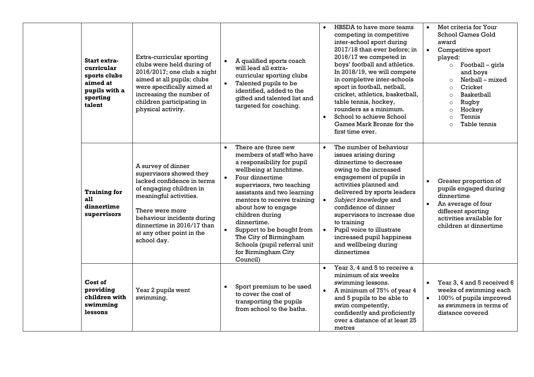|  | Start extra-<br>curricular<br>sports clubs<br>aimed at<br>pupils with a<br>sporting<br>talent | Extra-curricular sporting<br>clubs were held during of<br>2016/2017; one club a night<br>aimed at all pupils; clubs<br>were specifically aimed at<br>increasing the number of<br>children participating in<br>physical activity.                            | A qualified sports coach<br>will lead all extra-<br>curricular sporting clubs<br>Talented pupils to be<br>identified, added to the<br>gifted and talented list and<br>targeted for coaching.                                                                                                                                                                                                                            | HBSDA to have more teams<br>$\bullet$<br>competing in competitive<br>inter-school sport during<br>2017/18 than ever before; in<br>2016/17 we competed in<br>boys' football and athletics.<br>In 2018/19, we will compete<br>in completive inter-schools<br>sport in football, netball,<br>cricket, athletics, basketball,<br>table tennis, hockey,<br>rounders as a minimum.<br>School to achieve School<br>Games Mark Bronze for the<br>first time ever. | Met criteria for Your<br>$\bullet$<br>School Games Gold<br>award<br>$\bullet$<br>Competitive sport<br>played:<br>Football – girls<br>$\circ$<br>and boys<br>Netball - mixed<br>$\circ$<br>Cricket<br>$\Omega$<br><b>Basketball</b><br>$\circ$<br>Rugby<br>$\circ$<br>Hockey<br>$\circ$<br>Tennis<br>$\Omega$<br>Table tennis<br>$\Omega$ |
|--|-----------------------------------------------------------------------------------------------|-------------------------------------------------------------------------------------------------------------------------------------------------------------------------------------------------------------------------------------------------------------|-------------------------------------------------------------------------------------------------------------------------------------------------------------------------------------------------------------------------------------------------------------------------------------------------------------------------------------------------------------------------------------------------------------------------|-----------------------------------------------------------------------------------------------------------------------------------------------------------------------------------------------------------------------------------------------------------------------------------------------------------------------------------------------------------------------------------------------------------------------------------------------------------|------------------------------------------------------------------------------------------------------------------------------------------------------------------------------------------------------------------------------------------------------------------------------------------------------------------------------------------|
|  | <b>Training for</b><br>all<br>dinnertime<br>supervisors                                       | A survey of dinner<br>supervisors showed they<br>lacked confidence in terms<br>of engaging children in<br>meaningful activities.<br>There were more<br>behaviour incidents during<br>dinnertime in 2016/17 than<br>at any other point in the<br>school day. | There are three new<br>members of staff who have<br>a responsibility for pupil<br>wellbeing at lunchtime.<br>Four dinnertime<br>$\bullet$<br>supervisors, two teaching<br>assistants and two learning<br>mentors to receive training<br>about how to engage<br>children during<br>dinnertime.<br>Support to be bought from<br>The City of Birmingham<br>Schools (pupil referral unit<br>for Birmingham City<br>Council) | The number of behaviour<br>issues arising during<br>dinnertime to decrease<br>owing to the increased<br>engagement of pupils in<br>activities planned and<br>delivered by sports leaders<br>Subject knowledge and<br>confidence of dinner<br>supervisors to increase due<br>to training<br>Pupil voice to illustrate<br>increased pupil happiness<br>and wellbeing during<br>dinnertimes                                                                  | Greater proportion of<br>$\bullet$<br>pupils engaged during<br>dinnertime<br>An average of four<br>different sporting<br>activities available for<br>children at dinnertime                                                                                                                                                              |
|  | Cost of<br>providing<br>children with<br>swimming<br>lessons                                  | Year 2 pupils went<br>swimming.                                                                                                                                                                                                                             | Sport premium to be used<br>to cover the cost of<br>transporting the pupils<br>from school to the baths.                                                                                                                                                                                                                                                                                                                | Year 3, 4 and 5 to receive a<br>minimum of six weeks<br>swimming lessons.<br>A minimum of 75% of year 4<br>and 5 pupils to be able to<br>swim competently,<br>confidently and proficiently<br>over a distance of at least 25<br>metres                                                                                                                                                                                                                    | Year 3, 4 and 5 received 6<br>$\bullet$<br>weeks of swimming each<br>100% of pupils improved<br>$\bullet$<br>as swimmers in terms of<br>distance covered                                                                                                                                                                                 |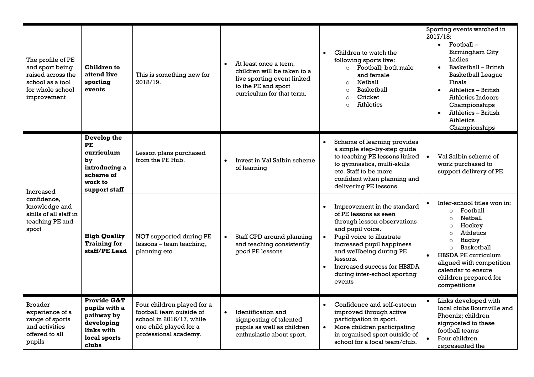| The profile of PE<br>and sport being<br>raised across the<br>school as a tool<br>for whole school<br>improvement | <b>Children to</b><br>attend live<br>sporting<br>events                                                    | This is something new for<br>2018/19.                                                                                                 | $\bullet$ | At least once a term,<br>children will be taken to a<br>live sporting event linked<br>to the PE and sport<br>curriculum for that term. | $\bullet$              | Children to watch the<br>following sports live:<br>Football; both male<br>$\circ$<br>and female<br>Netball<br>$\circ$<br><b>Basketball</b><br>$\circ$<br>Cricket<br>$\Omega$<br><b>Athletics</b><br>$\Omega$                                                                      |           | Sporting events watched in<br>2017/18:<br>$\bullet$ Football –<br>Birmingham City<br>Ladies<br>Basketball - British<br><b>Basketball League</b><br>Finals<br>Athletics - British<br>Athletics Indoors<br>Championships<br>Athletics - British<br><b>Athletics</b><br>Championships                    |
|------------------------------------------------------------------------------------------------------------------|------------------------------------------------------------------------------------------------------------|---------------------------------------------------------------------------------------------------------------------------------------|-----------|----------------------------------------------------------------------------------------------------------------------------------------|------------------------|-----------------------------------------------------------------------------------------------------------------------------------------------------------------------------------------------------------------------------------------------------------------------------------|-----------|-------------------------------------------------------------------------------------------------------------------------------------------------------------------------------------------------------------------------------------------------------------------------------------------------------|
| Increased<br>confidence.<br>knowledge and<br>skills of all staff in<br>teaching PE and<br>sport                  | Develop the<br>PE<br>curriculum<br>by<br>introducing a<br>scheme of<br>work to<br>support staff            | Lesson plans purchased<br>from the PE Hub.                                                                                            | $\bullet$ | Invest in Val Salbin scheme<br>of learning                                                                                             |                        | Scheme of learning provides<br>a simple step-by-step quide<br>to teaching PE lessons linked<br>to gymnastics, multi-skills<br>etc. Staff to be more<br>confident when planning and<br>delivering PE lessons.                                                                      | $\bullet$ | Val Salbin scheme of<br>work purchased to<br>support delivery of PE                                                                                                                                                                                                                                   |
|                                                                                                                  | <b>High Quality</b><br><b>Training for</b><br>staff/PE Lead                                                | NQT supported during PE<br>lessons - team teaching,<br>planning etc.                                                                  |           | Staff CPD around planning<br>and teaching consistently<br>good PE lessons                                                              | $\bullet$              | Improvement in the standard<br>of PE lessons as seen<br>through lesson observations<br>and pupil voice.<br>Pupil voice to illustrate<br>increased pupil happiness<br>and wellbeing during PE<br>lessons.<br>Increased success for HBSDA<br>during inter-school sporting<br>events | $\bullet$ | Inter-school titles won in:<br>Football<br>$\Omega$<br>Netball<br>$\circ$<br>Hockey<br>$\Omega$<br><b>Athletics</b><br>$\Omega$<br>Rugby<br>$\circ$<br><b>Basketball</b><br>$\circ$<br>HBSDA PE curriculum<br>aligned with competition<br>calendar to ensure<br>children prepared for<br>competitions |
| <b>Broader</b><br>experience of a<br>range of sports<br>and activities<br>offered to all<br>pupils               | <b>Provide G&amp;T</b><br>pupils with a<br>pathway by<br>developing<br>links with<br>local sports<br>clubs | Four children played for a<br>football team outside of<br>school in 2016/17, while<br>one child played for a<br>professional academy. | $\bullet$ | Identification and<br>signposting of talented<br>pupils as well as children<br>enthusiastic about sport.                               | $\bullet$<br>$\bullet$ | Confidence and self-esteem<br>improved through active<br>participation in sport.<br>More children participating<br>in organised sport outside of<br>school for a local team/club.                                                                                                 |           | Links developed with<br>local clubs Bournville and<br>Phoenix; children<br>signposted to these<br>football teams<br>Four children<br>represented the                                                                                                                                                  |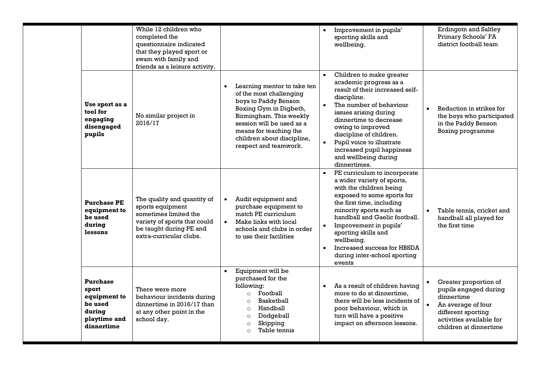|                                                                                             | While 12 children who<br>completed the<br>questionnaire indicated<br>that they played sport or<br>swam with family and<br>friends as a leisure activity.       |                                                                                                                                                                                                                                                   | Improvement in pupils'<br>sporting skills and<br>wellbeing.                                                                                                                                                                                                                                                                                          | <b>Erdingotn and Saltley</b><br>Primary Schools' FA<br>district football team                                                                                  |
|---------------------------------------------------------------------------------------------|----------------------------------------------------------------------------------------------------------------------------------------------------------------|---------------------------------------------------------------------------------------------------------------------------------------------------------------------------------------------------------------------------------------------------|------------------------------------------------------------------------------------------------------------------------------------------------------------------------------------------------------------------------------------------------------------------------------------------------------------------------------------------------------|----------------------------------------------------------------------------------------------------------------------------------------------------------------|
| Use sport as a<br>tool for<br>engaging<br>disengaged<br>pupils                              | No similar project in<br>2016/17                                                                                                                               | Learning mentor to take ten<br>of the most challenging<br>boys to Paddy Benson<br>Boxing Gym in Digbeth,<br>Birmingham. This weekly<br>session will be used as a<br>means for teaching the<br>children about discipline,<br>respect and teamwork. | Children to make greater<br>academic progress as a<br>result of their increased self-<br>discipline.<br>The number of behaviour<br>$\bullet$<br>issues arising during<br>dinnertime to decrease<br>owing to improved<br>discipline of children.<br>Pupil voice to illustrate<br>increased pupil happiness<br>and wellbeing during<br>dinnertimes.    | Reduction in strikes for<br>the boys who participated<br>in the Paddy Benson<br>Boxing programme                                                               |
| <b>Purchase PE</b><br>equipment to<br>be used<br>during<br>lessons                          | The quality and quantity of<br>sports equipment<br>sometimes limited the<br>variety of sports that could<br>be taught during PE and<br>extra-curricular clubs. | Audit equipment and<br>purchase equipment to<br>match PE curriculum<br>Make links with local<br>$\bullet$<br>schools and clubs in order<br>to use their facilities                                                                                | PE curriculum to incorporate<br>a wider variety of sports,<br>with the children being<br>exposed to some sports for<br>the first time, including<br>minority sports such as<br>handball and Gaelic football.<br>Improvement in pupils'<br>sporting skills and<br>wellbeing.<br>Increased success for HBSDA<br>during inter-school sporting<br>events | Table tennis, cricket and<br>handball all played for<br>the first time                                                                                         |
| <b>Purchase</b><br>sport<br>equipment to<br>be used<br>during<br>playtime and<br>dinnertime | There were more<br>behaviour incidents during<br>dinnertime in 2016/17 than<br>at any other point in the<br>school day.                                        | Equipment will be<br>purchased for the<br>following:<br>Football<br>$\circ$<br>Basketball<br>$\circ$<br>Handball<br>$\circ$<br>Dodgeball<br>$\circ$<br>Skipping<br>$\circ$<br>Table tennis<br>$\circ$                                             | As a result of children having<br>more to do at dinnertime.<br>there will be less incidents of<br>poor behaviour, which in<br>turn will have a positive<br>impact on afternoon lessons.                                                                                                                                                              | Greater proportion of<br>pupils engaged during<br>dinnertime<br>An average of four<br>different sporting<br>activities available for<br>children at dinnertime |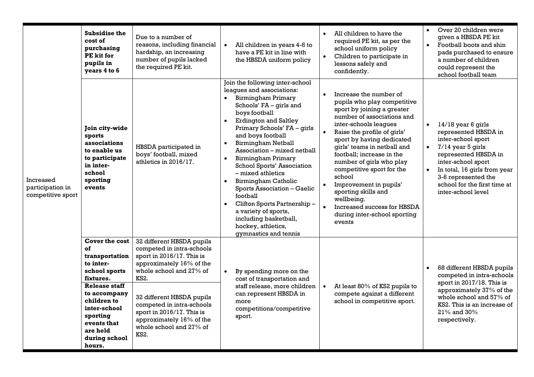| Increased<br>participation in<br>competitive sport | <b>Subsidise the</b><br>cost of<br>purchasing<br>PE kit for<br>pupils in<br>years 4 to 6                                                                                                                            | Due to a number of<br>reasons, including financial<br>hardship, an increasing<br>number of pupils lacked<br>the required PE kit.                                                                                                                                                                                | All children in years 4-6 to<br>have a PE kit in line with<br>the HBSDA uniform policy                                                                                                                                                                                                                                                                                                                                                                                                                                                                                                             | All children to have the<br>$\bullet$<br>required PE kit, as per the<br>school uniform policy<br>Children to participate in<br>lessons safely and<br>confidently.                                                                                                                                                                                                                                                                                                                          | Over 20 children were<br>$\bullet$<br>given a HBSDA PE kit<br>Football boots and shin<br>$\bullet$<br>pads purchased to ensure<br>a number of children<br>could represent the<br>school football team                                                                                     |
|----------------------------------------------------|---------------------------------------------------------------------------------------------------------------------------------------------------------------------------------------------------------------------|-----------------------------------------------------------------------------------------------------------------------------------------------------------------------------------------------------------------------------------------------------------------------------------------------------------------|----------------------------------------------------------------------------------------------------------------------------------------------------------------------------------------------------------------------------------------------------------------------------------------------------------------------------------------------------------------------------------------------------------------------------------------------------------------------------------------------------------------------------------------------------------------------------------------------------|--------------------------------------------------------------------------------------------------------------------------------------------------------------------------------------------------------------------------------------------------------------------------------------------------------------------------------------------------------------------------------------------------------------------------------------------------------------------------------------------|-------------------------------------------------------------------------------------------------------------------------------------------------------------------------------------------------------------------------------------------------------------------------------------------|
|                                                    | Join city-wide<br>sports<br>associations<br>to enable us<br>to participate<br>in inter-<br>school<br>sporting<br>events                                                                                             | HBSDA participated in<br>boys' football, mixed<br>athletics in 2016/17.                                                                                                                                                                                                                                         | Join the following inter-school<br>leagues and associations:<br>Birmingham Primary<br>Schools' FA - girls and<br>boys football<br><b>Erdington and Saltley</b><br>$\bullet$<br>Primary Schools' FA - girls<br>and boys football<br><b>Birmingham Netball</b><br>$\bullet$<br>Association - mixed netball<br>Birmingham Primary<br>$\bullet$<br>School Sports' Association<br>$-$ mixed athletics<br>Birmingham Catholic<br>Sports Association - Gaelic<br>football<br>Clifton Sports Partnership -<br>a variety of sports,<br>including basketball,<br>hockey, athletics,<br>gymnastics and tennis | Increase the number of<br>$\bullet$<br>pupils who play competitive<br>sport by joining a greater<br>number of associations and<br>inter-schools leagues<br>Raise the profile of girls'<br>sport by having dedicated<br>girls' teams in netball and<br>football; increase in the<br>number of girls who play<br>competitive sport for the<br>school<br>Improvement in pupils'<br>sporting skills and<br>wellbeing.<br>Increased success for HBSDA<br>during inter-school sporting<br>events | 14/18 year 6 girls<br>$\bullet$<br>represented HBSDA in<br>inter-school sport<br>$7/14$ year 5 girls<br>$\bullet$<br>represented HBSDA in<br>inter-school sport<br>In total, 16 girls from year<br>$\bullet$<br>3-6 represented the<br>school for the first time at<br>inter-school level |
|                                                    | Cover the cost<br>of<br>transportation<br>to inter-<br>school sports<br>fixtures.<br>Release staff<br>to accompany<br>children to<br>inter-school<br>sporting<br>events that<br>are held<br>during school<br>hours. | 32 different HBSDA pupils<br>competed in intra-schools<br>sport in 2016/17. This is<br>approximately 16% of the<br>whole school and 27% of<br><b>KS2.</b><br>32 different HBSDA pupils<br>competed in intra-schools<br>sport in 2016/17. This is<br>approximately 16% of the<br>whole school and 27% of<br>KS2. | By spending more on the<br>cost of transportation and<br>staff release, more children<br>can represent HBSDA in<br>more<br>competitions/competitive<br>sport.                                                                                                                                                                                                                                                                                                                                                                                                                                      | At least 80% of KS2 pupils to<br>compete against a different<br>school in competitive sport.                                                                                                                                                                                                                                                                                                                                                                                               | 68 different HBSDA pupils<br>competed in intra-schools<br>sport in 2017/18. This is<br>approximately 37% of the<br>whole school and 57% of<br>KS2. This is an increase of<br>$21\%$ and $30\%$<br>respectively.                                                                           |